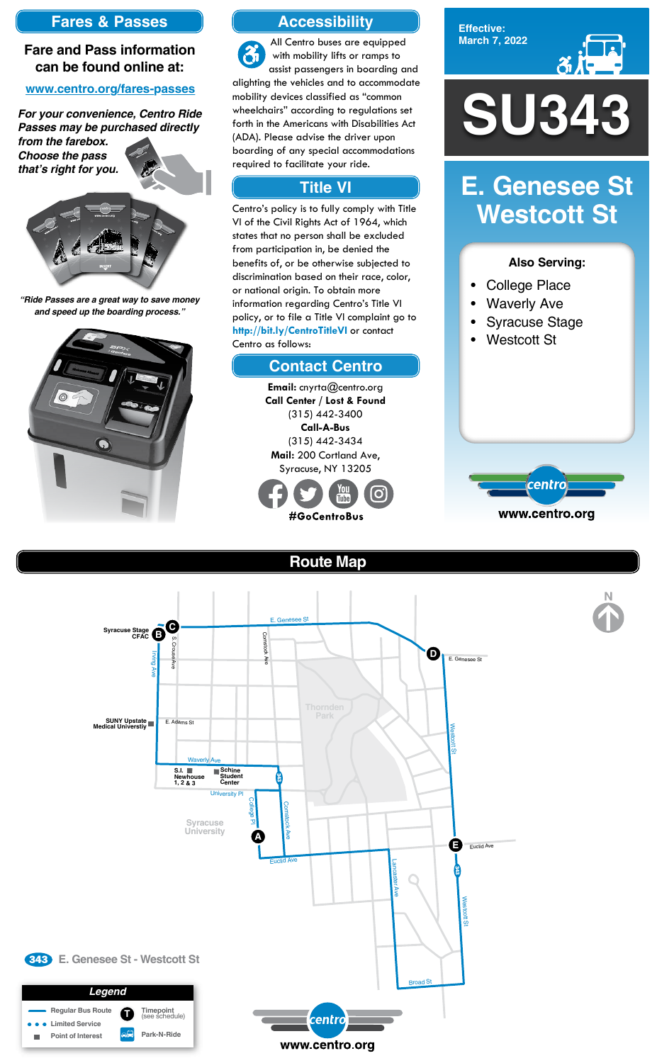**Effective: March 7, 2022**



- College Place
- **Waverly Ave**
- Syracuse Stage
- Westcott St



### **Also Serving:**

# **E. Genesee St Westcott St**

# **Route Map**





### **Accessibility**

## **Contact Centro**

## **Title VI**

All Centro buses are equipped  $\mathfrak{F}$ with mobility lifts or ramps to assist passengers in boarding and alighting the vehicles and to accommodate mobility devices classified as "common wheelchairs" according to regulations set forth in the Americans with Disabilities Act (ADA). Please advise the driver upon boarding of any special accommodations required to facilitate your ride.

Centro's policy is to fully comply with Title VI of the Civil Rights Act of 1964, which states that no person shall be excluded from participation in, be denied the benefits of, or be otherwise subjected to discrimination based on their race, color, or national origin. To obtain more information regarding Centro's Title VI policy, or to file a Title VI complaint go to **http://bit.ly/CentroTitleVI** or contact Centro as follows:

> **Email:** cnyrta@centro.org **Call Center / Lost & Found** (315) 442-3400 **Call-A-Bus** (315) 442-3434 **Mail:** 200 Cortland Ave, Syracuse, NY 13205



# **Fares & Passes**

### **Fare and Pass information can be found online at:**

#### **www.centro.org/fares-passes**

*"Ride Passes are a great way to save money and speed up the boarding process."*



*For your convenience, Centro Ride Passes may be purchased directly* 

*from the farebox. Choose the pass that's right for you.*